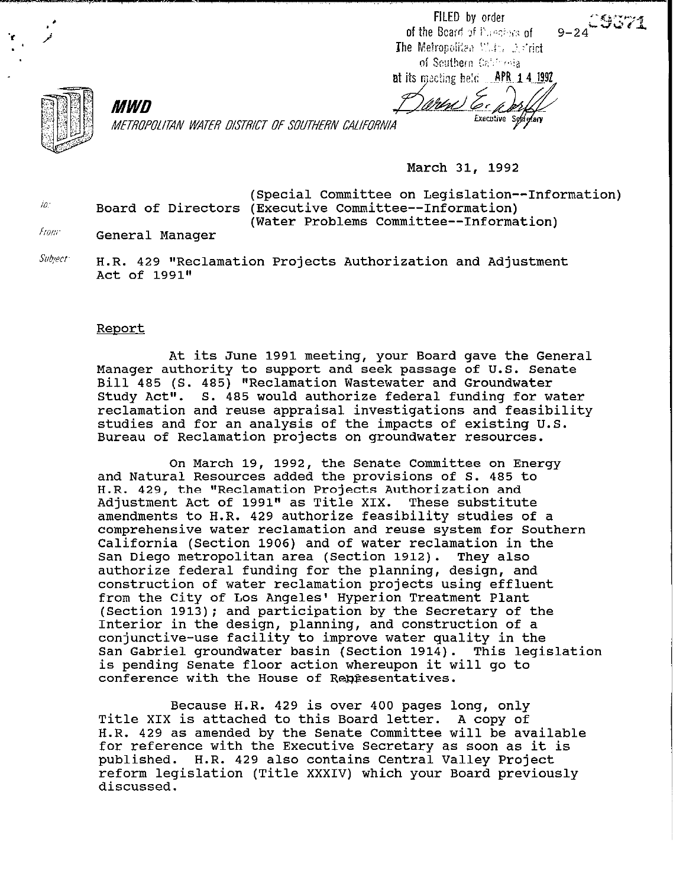FILED by order of the Board of Puledby's of The Metropolitea Water Astrict of Southern California

 $9-24$ <sup> $-9571$ </sup>

at its meeting held **APR 14 1992** <u> Witrl</u> Executive Sociolary



METROPOLITAN WATER DISTRICT OF SOUTHERN CALIFORNIA

March 31, 1992

 $\theta$ . Board of Directors (Executive Committee--Information) (Special Committee on Legislation--Information) (Water Problems Committee--Information)

from: General Manager

MWD

 $\mathcal{S}$ ubyect: H.R. 429 "Reclamation Projects Authorization and Adjustment Act of 1991"

#### Revort

At its June 1991 meeting, your Board gave the General Manager authority to support and seek passage of U.S. Senate Bill 485 (S. 485) "Reclamation Wastewater and Groundwater Study Act". S. 485 would authorize federal funding for water reclamation and reuse appraisal investigations and feasibility studies and for an analysis of the impacts of existing U.S. Bureau of Reclamation projects on groundwater resources.

On March 19, 1992, the Senate Committee on Energy and Natural Resources added the provisions of S. 485 to H.R. 429, the "Reclamation Projects Authorization and Adjustment Act of 1991" as Title XIX. These substitute amendments to H.R. 429 authorize feasibility studies of a comprehensive water reclamation and reuse system for Southern California (Section 1906) and of water reclamation in the San Diego metropolitan area (Section 1912). They also authorize federal funding for the planning, design, and construction of water reclamation projects using effluent from the City of Los Angeles' Hyperion Treatment Plant (Section 1913); and participation by the Secretary of the Interior in the design, planning, and construction of a conjunctive-use facility to improve water quality in the San Gabriel groundwater basin (Section 1914). This legislation is pending Senate floor action whereupon it will go to conference with the House of Representatives.

Because H.R. 429 is over 400 pages long, only Title XIX is attached to this Board letter. A copy of H.R. 429 as amended by the Senate Committee will be available for reference with the Executive Secretary as soon as it is published. H.R. 429 also contains Central Valley Project reform legislation (Title XXXIV) which your Board previously discussed.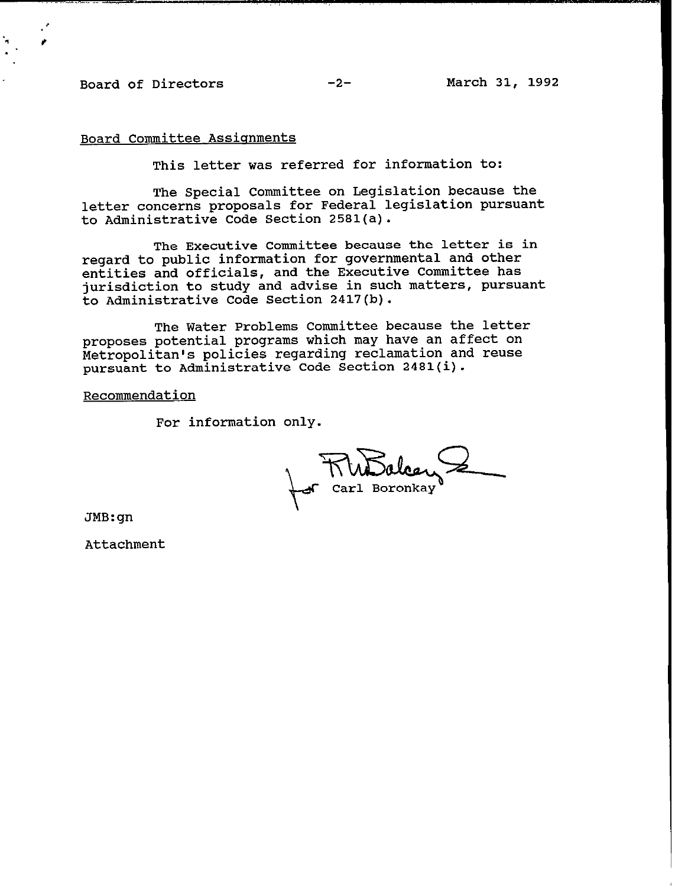## **Board of Directors -2- March 31, 1992**

### **Board Committee Assionments**

**This letter was referred for information to:** 

**The Special Committee on Legislation because the letter concerns proposals for Federal legislation pursuant to Administrative Code Section 2581(a).** 

**The Executive Committee because the letter is in regard to public information for governmental and other entities and officials, and the Executive Committee has jurisdiction to study and advise in such matters, pursuant to Administrative Code Section 2417(b).** 

**The Water Problems Committee because the letter proposes potential programs which may have an affect on Metropolitan's policies regarding reclamation and reuse pursuant to Administrative Code Section 2481(i).** 

**Recommendation** 

**For information only.** 

**Carl Boronkay** 

**JMB:gn** 

**Attachment**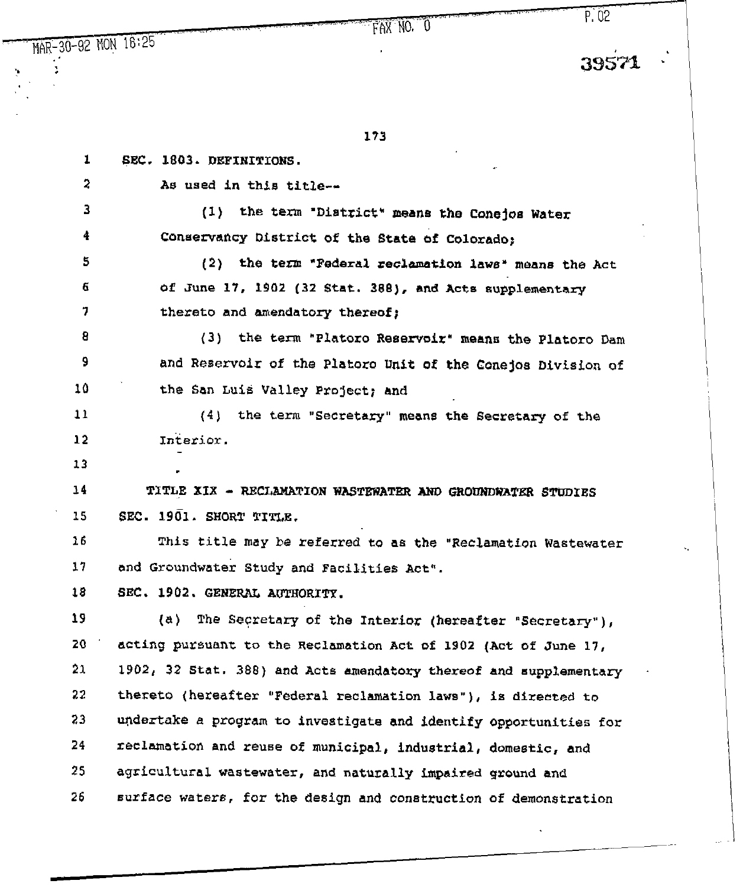,,.,,.,.. I -...a,:  $FAXNO.$   $\overline{0}$ 

 $\frac{\text{MAR}-30-92 \text{ MON}}{16:25}$  ...

:

? : .

173

., .,

,,,(, .,"

| $\mathbf{1}$            | SEC. 1803. DEFINITIONS.                                           |
|-------------------------|-------------------------------------------------------------------|
| $\overline{\mathbf{c}}$ | As used in this title--                                           |
| 3.                      | (1) the term "District" means the Conejos Water                   |
| 4                       | Conservancy District of the State of Colorado;                    |
| 5                       | (2) the term "Federal reclamation laws" means the Act             |
| 6                       | of June 17, 1902 (32 Stat. 388), and Acts supplementary           |
| 7                       | thereto and amendatory thereof;                                   |
| 8                       | (3) the term "Platoro Reservoir" means the Platoro Dam            |
| 9                       | and Reservoir of the Platoro Unit of the Conejos Division of      |
| 10                      | the San Luis Valley Project; and                                  |
| 11                      | (4) the term "Secretary" means the Secretary of the               |
| 12                      | Interior.                                                         |
| 13                      |                                                                   |
| 14                      | TITLE XIX - RECLAMATION WASTEWATER AND GROUNDWATER STUDIES        |
| 15                      | SEC. 1901. SHORT TITLE.                                           |
| 16                      | This title may be referred to as the "Reclamation Wastewater      |
| 17                      | and Groundwater Study and Facilities Act".                        |
| 18                      | SEC. 1902. GENERAL AUTHORITY.                                     |
| 19                      | (a) The Secretary of the Interior (hereafter "Secretary"),        |
| 20                      | acting pursuant to the Reclamation Act of 1902 (Act of June 17,   |
| 21                      | 1902, 32 Stat. 388) and Acts amendatory thereof and supplementary |
| 22                      | thereto (hereafter "Federal reclamation laws"), is directed to    |
| 23                      | undertake a program to investigate and identify opportunities for |
| 24                      | reclamation and reuse of municipal, industrial, domestic, and     |
| 25                      | agricultural wastewater, and naturally impaired ground and        |
| 26                      | surface waters, for the design and construction of demonstration  |
|                         |                                                                   |

P;d2

'.' ""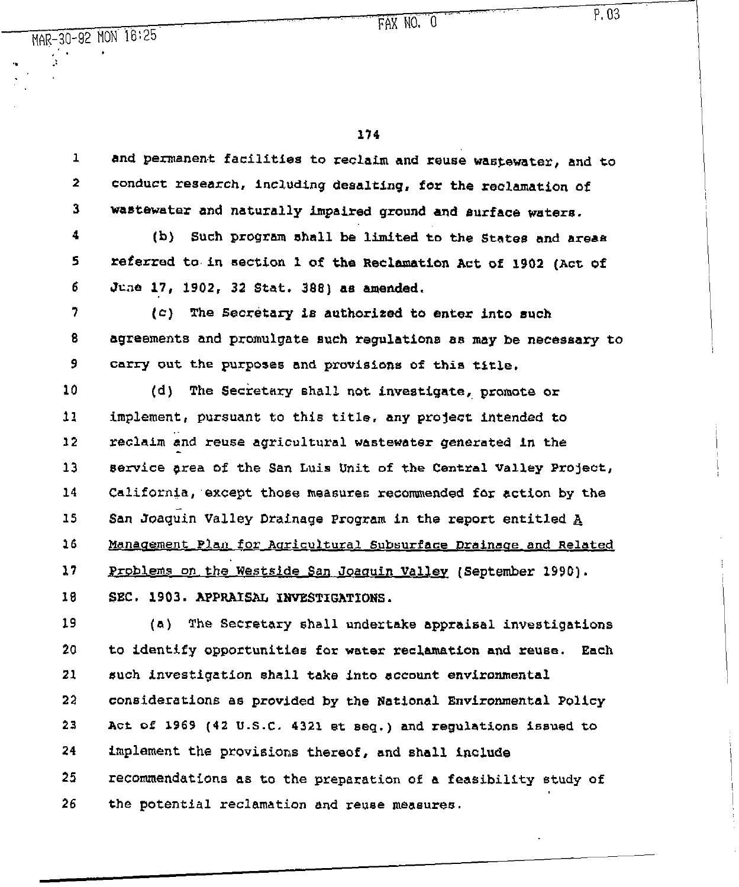$\frac{1}{2}$ , 03

114

 $\mathcal{L}^{\mathcal{L}}(\mathcal{L}^{\mathcal{L}})$  is the contract of the set of the set of the set of the set of the set of the set of the set of the set of the set of the set of the set of the set of the set of the set of the set of the set

1 2 3 and *permanent* facilities to reclaim and reuse wastewater, and to conduct research, including desalting, **for** the reclamation of *wastewater* and naturally impaired ground and surface waters.

:.

4 5 6 (b) such program shall be Limited to the States and areas referred to in section 1 of the Reclamation Act of 1902 (Act of June 17, 1902, 32 Stat, 388) a8 **amended.** 

7 8 9 (c) The Secretary is authorized to enter into such agreements and promulgate euch regulation8 as may be necessary to carry out the purposes and provisions of this title.

10 11 12 13 14 15 16 17 18 (d) The Secretary shall not investigate, promote or *implement,* pursuant to this title, any project intended to reclaim and reuse agricultural wastewater generated In the service area of the San Luis Unit of the Central Valley Project, California;except those measures reconunended for action by the San Joaquin Valley Drainage Program in the report entitled A Management Plan for Agricultural Subsurface Drainage and Related Problems on the Westside San Joaquin Valley (September 1990). SEC. 1903. APPRAISAL INVESTIGATIONS.

19 20 21 22 23 24 2s 26 (a) The Secretary shall undertake appraisal investigations to identify opportunities for water reclamation and reuse. Each such investigation shall take into account environmental considerations as provided by the Rational Environmental Policy Act of 1969 (42 U.S.C. 4321 et seq.) and regulations issued to implement the provisions thereof, and shall include recommendations as to the preparation of a feasibility study of the potential *reclamation* and reuse **meaeures.** 

## MAR-30-92 MON 16:25  $\sum_{i=1}^n \mathbf{r}_i = \mathbf{r}_i + \mathbf{r}_i$

 $\mathbf{e} = \mathbf{e} \cdot \mathbf{e}$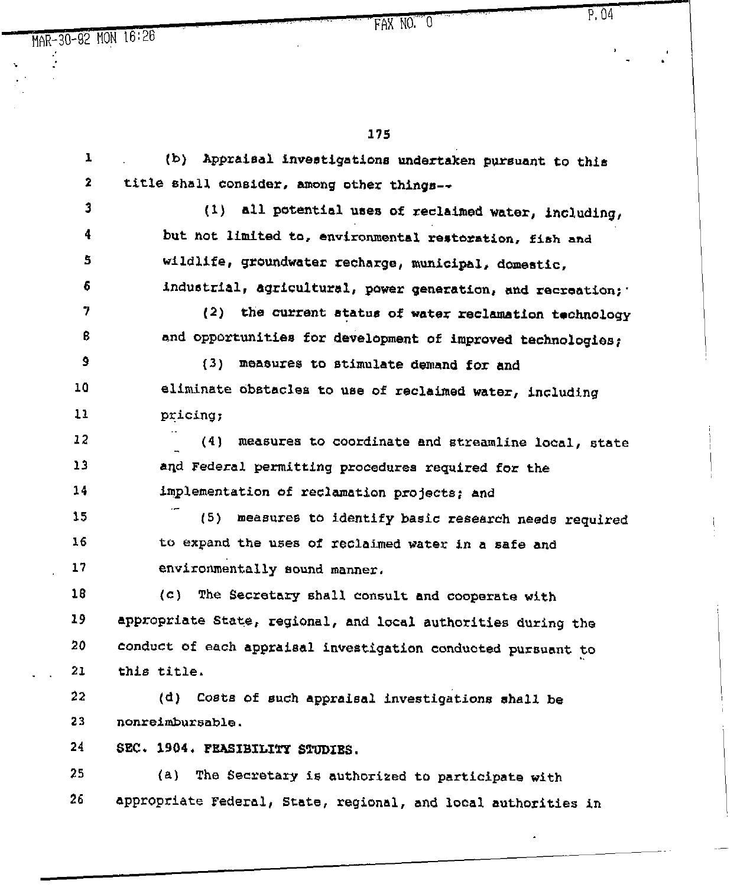$\ddot{\phantom{0}}$ 

175

| ı  | (b) Appraisal investigations undertaken pursuant to this       |
|----|----------------------------------------------------------------|
| 2  | title shall consider, among other things--                     |
| Ĵ  | (1) all potential uses of reclaimed water, including,          |
| 4  | but not limited to, environmental restoration, fish and        |
| 5  | wildlife, groundwater recharge, municipal, domestic,           |
| 6  | industrial, agricultural, power generation, and recreation; '  |
| 7  | (2) the current status of water reclamation technology         |
| ₿  | and opportunities for development of improved technologies;    |
| 9  | (3) measures to stimulate demand for and                       |
| 10 | eliminate obstacles to use of reclaimed water, including       |
| 11 | pricing;                                                       |
| 12 | (4)<br>measures to coordinate and streamline local, state      |
| 13 | and Federal permitting procedures required for the             |
| 14 | implementation of reclamation projects; and                    |
| 15 | (5)<br>measures to identify basic research needs required      |
| 16 | to expand the uses of reclaimed water in a safe and            |
| 17 | environmentally sound manner.                                  |
| 18 | (c) The Secretary shall consult and cooperate with             |
| 19 | appropriate State, regional, and local authorities during the  |
| 20 | conduct of each appraisal investigation conducted pursuant to  |
| 21 | this title.                                                    |
| 22 | (d) Costs of such appraisal investigations shall be            |
| 23 | nonreimbursable.                                               |
| 24 | SEC. 1904. PEASIBILITY STUDIES.                                |
| 25 | (a) The Secretary is authorized to participate with            |
| 26 | appropriate Federal, State, regional, and local authorities in |
|    |                                                                |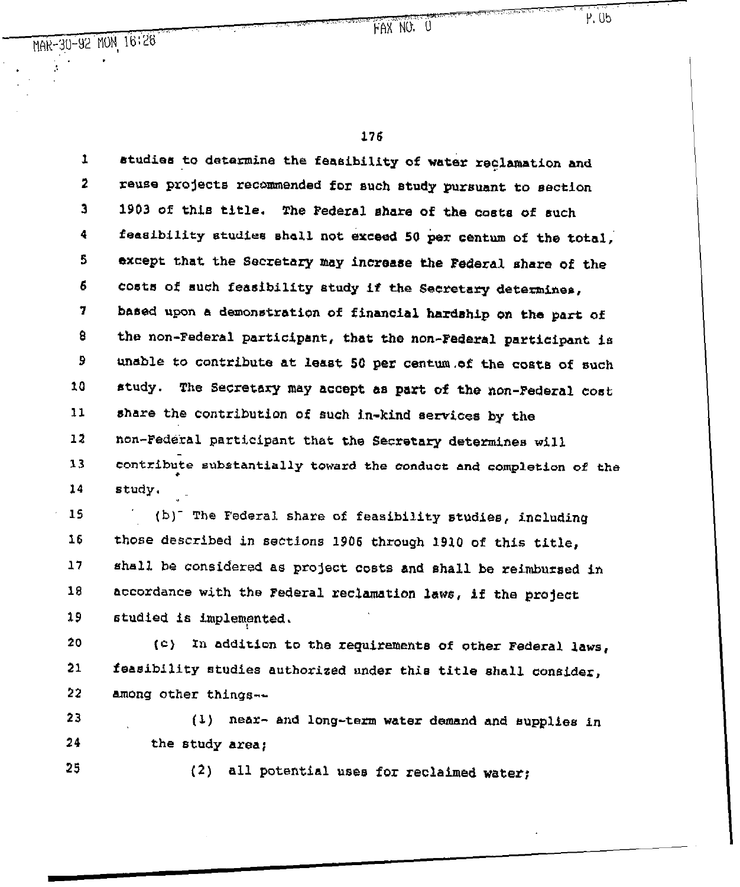FAX NO. U

P. 05

176

1 2 3 4 5 6 1 B 9 10 11 12 13 14 btudies to determine the feasibility of water reclamation and reuse projects recommended for such study pursuant to section 1903 of this title. The Federal share of the costa of such feasibility studies shall not exceed 50 per centum of the total, except that the Secretary may increase the Federal share of the Co6t6 of 6uch feasibility study **if** the Secretary determines, based upon a demonstration of financial **hardship** *on* the part of the non-Federal participant, that the non-Federal participant is unable to contribute at least 50 per centum of the costs of such Etudy. The Secretary may accept &s part of the non-Federal cost share the contribution of such in-kind services by the non-Federal participant that the Secretary determines will contribute substantially toward the conduct and completion of the l study. "

15 16 17 18 19 (b)<sup>-</sup> The Federal share of feasibility studies, including those described in sections 1906 through 1910 of this title, shall be considered as project costs and shall be reimbursed in Accordance with the Federal reclamation lawci, **if** the project studied is implemented.

20 21 22 (C) In addition to the requirement8 of other Federal laws, feasibility studies authorized under thie title shall consider, among other things--

23 24 (1) near- and long-term water demand and eupplies *in the* study area;

25

(2) all potential uses for reclaimed water;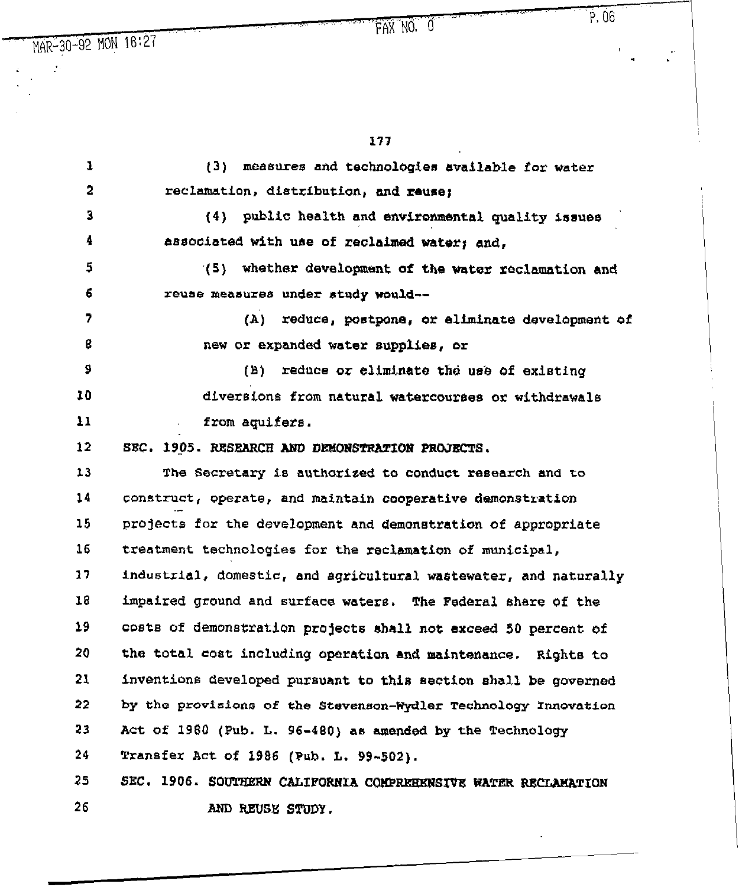$\langle \cdot \rangle$ 

 $\frac{1}{2}$ 

# ,, ,.... j, ,Fk\_\_NO;- ok.. ,..,I .I "p.06 .'

\* h,

.I .,

 $\mathbb{Z}$ 

177

| 1                       | measures and technologies available for water<br>(3)             |
|-------------------------|------------------------------------------------------------------|
| $\overline{\mathbf{2}}$ | reclamation, distribution, and reuse;                            |
| 3                       | (4) public health and environmental quality issues               |
| 4                       | associated with use of reclaimed water; and,                     |
| 5                       | (5) whether development of the water reclamation and             |
| 6                       | reuse measures under study would--                               |
| 7                       | (A)<br>reduce, postpone, or aliminate development of             |
| 8                       | new or expanded water supplies, or                               |
| 9                       | (B)<br>reduce or eliminate the use of existing                   |
| 10                      | diversions from natural watercourses or withdrawals              |
| 11                      | from aquifers.                                                   |
| 12                      | SEC. 1905. RESEARCH AND DEMONSTRATION PROJECTS.                  |
| 13                      | The Secretary is authorized to conduct research and to           |
| 14                      | construct, operate, and maintain cooperative demonstration       |
| 15                      | projects for the development and demonstration of appropriate    |
| 16                      | treatment technologies for the reclamation of municipal,         |
| 17                      | industrial, domestic, and agricultural wastewater, and naturally |
| 18                      | impaired ground and surface waters. The Federal share of the     |
| 19                      | costs of demonstration projects shall not exceed 50 percent of   |
| 20                      | the total cost including operation and maintenance. Rights to    |
| 21                      | inventions developed pursuant to this section shall be governed  |
| 22                      | by the provisions of the Stevenson-Wydler Technology Innovation  |
| 23                      | Act of 1980 (Pub. L. 96-480) as amended by the Technology        |
| 24                      | Transfer Act of 1986 (Pub. L. 99-502).                           |
| 25                      | SEC. 1906. SOUTHERN CALIFORNIA COMPREEENSIVE WATER RECLAMATION   |
| 26                      | AND REUSE STUDY.                                                 |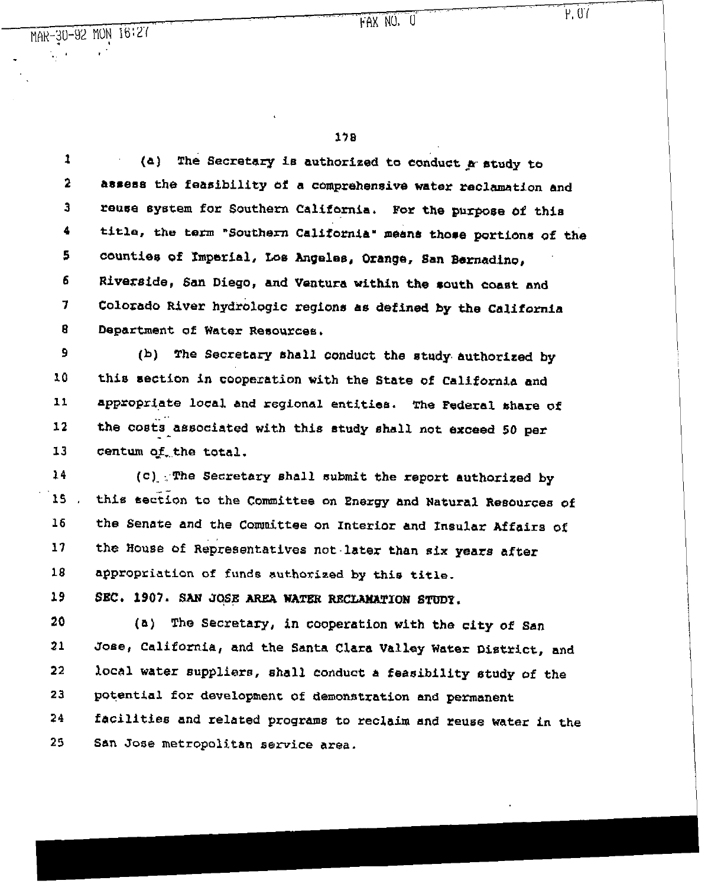178

1 **2 3 4 5 6 7 8**  (a) The Secretary is authorized to conduct a study to assess the feasibility of a comprehensive water reclamation and reuse system for Southern California. For the purpose of this title, the term "Southern California' *mane!* those portions of the CCmnties of Imperial, Los Angeles, Orange, San *Bernadine,*  Riverside, San Diego, and Ventura within the south coast and Colorado River hydrologic *regions as defined* by the California Department of Water Resources.

**9 10**  11 12 13 (b) The Secretary shall conduct the etudy authorized by this section in cooperation with the State of California and appropriate local and regional entities. The Federal share of . .. the costs associated with this study shall not *exceed 50* per \_ centum of the total.

14 15 16 17 18 (c)\_:.,The Secretary shall submit the *report authorized* by this section to the Committee on Energy and Natural Resources of the Senate and the Committee on Interior and Insular Affairs of the House of Representatives not.later than six years after appropriation of funds authorized by this title.

19 SEC. 1907. SAN JOSE AREA WATER RECLAMATION STUDY.

20 21 22 23 24 25 (a) The Secretary, in cooperation with the city of San Jose, California, and the Santa Clara Valley Water District, and local water suppliers, shall conduct a feasibility study of the potential for development **of** demonstration and permanent facilities and related programs to reclaim and reuse water in the San Jose metropolitan service area.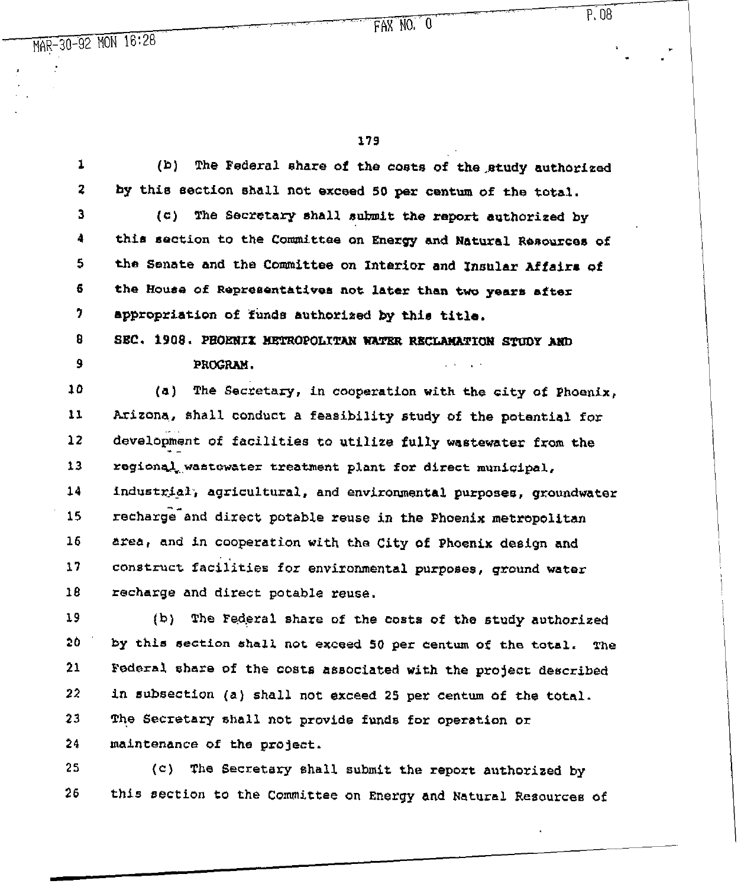23

## $P, 08$

.

r

" "

179

.<br>स्टब्स्ट*र* 

1 2 3 4 5 6 7 8 9 10 I1 12 13 14 15 16 17 1s 19 26 21 22  $(b)$  The Federal share of the costs of the study authorized by this section shall not exceed 50 per centum of the total. (c) The Secretary shall submit the report authorized by thin section to the Committee on Energy and Natural Resources **of**  the Senate and the Committee on Interior and *Insular* **Affair8 of the Kouae** of Repreaentativea not later than two years after appropriation of funds authorized by this title. SEC. 1908. PHOENIX HETROPOLITAN WATER RECLAMATION STUDY AND PROGRAM. (a) The Secretary, in cooperation with the city of Phoenix, Arizona, shall conduct a feasibility study of the potential for development of facilities to utilize fully wastewater from the the state of  $\mathcal{L}_{\mathcal{L}_{\mathcal{L}}}$ regional wastewater treatment plant for direct municipal, industrial, agricultural, and environmental purposes, groundwater recharge-and direct potable **reuse** in the Phoenix metropolitan area, and in cooperation with the City of Phoenix design and construct facilities for environmental purposes, ground water recharge and direct potable reuse. (b) The Federal share of the casts of the study authorized by this section shall not exceed 50 per centum of the total. The Federal share of the costs associated with the project described in subsection (a) shall not exceed 25 per centum of the total.

24 maintenance **of** the project.

25 26 (c) The Secretary shall submit the **report** authorized by this section to the Committee on Energy and Natural Resources of

The Secretary shall not provide funds for operation or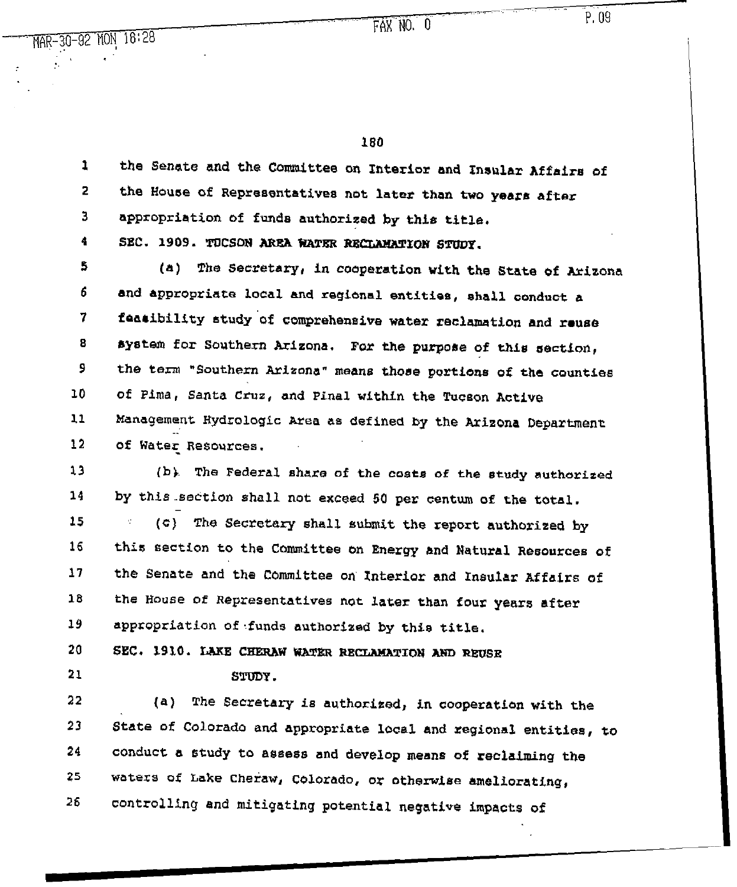FAX NO. O

 $P.09$ 

-30-92 MON 18:28

180

1 2 3 4 the Senate and the Committee an Interior and Insular Affairs of the House of Representatives *not* later than two years after appropriation of funds authorized by this title. SEC. 1909. TUCSON AREA WATER RECLAMATION STUDY.

5 6 7 8 9 LO 11 12 (41) The Secretary, in cooperation with the State of Arizona and appropriate local and regional entities, shall *conduct a*  faasibility study.of comprehensive water reclamation and reuse system for Southern Arizona. For the purpose of this section, the term \*Southern &zizona" means those portions of the counties of Pima, Santa cruz, and Pinal within the Tucson Active Management Hydrologic Area as defined by the Arizona Department .: of Water Resources.

13 14 (b). The Federal share of the coats *of* the study authorized by this section shall not exceed 50 per centum of the total.

15 16 11 18 19 (c) The Secretary shall submit the report authorized by this section to the Committee on Energy and Natural Resources of the Senate and *the* Committee on Interior and Insular Affairs of the House of Representatives not later than four years after appropriation of-funds authorized by this title.

20 SEC. 1910. LAKE CHERAW WATER RECLAMATION AND REUSE

21

 $S$ TULV.

22 23 24 25 26 (a) The Secretary **is** authorited, in cooperation with the State of Colorado and appropriate local and regional entities, to conduct a study to assess and develop means **of** reclaiming the waters of bake Cheraw, Colorado, or otherwise ameliorating, controlling and mitigating potential negative impacts of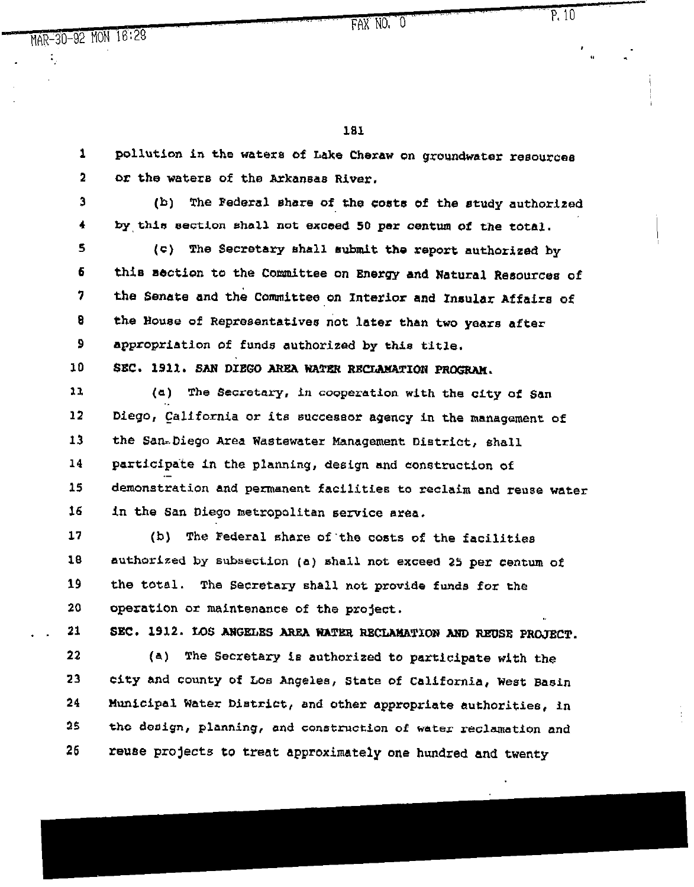$\ddot{\bullet}_2$ 

FAX NO; 0

., ~1

191

1 2 3 4 5 6 7 8 9 10 11 12 13 14 15 16 17 18 19 20 . . 21 22 23 24 25 26 pollution in the water8 bf Lake Cheraw on groundwater resource8 or the waters of the Arkansas River. (b) The Federal share of the costs **of** the study authorized by,this section shall not exceed 5b par **centurn of** the total. (c) The Secretary shall submit the report authorized by thie section to the Committee *on Energy* and Natural Resources of the Senate and the Committee on Znterior and Insular Affairs of the Rouse of Representatives *not* later than two years after appropriation of funds authorized by this title. SEC. 1911. SAN DIEGO AREA WATER RECLAMATION PROGRAM. (a) The Secretary, in cooperation with the city of San  $\mathbf{r}$ Diego, California or its succea6or agency in the management of the Sanr.Diego Area Wastewater Management District, shall participate in the planning, design and construction of . demonstration and permanent facilities to reclaim and reuse water in the San Diego metropolitan service area. (b) The Federal share of the costs of the facilities authorized by subsection (a) shall not exceed 2S per centum of the total. The Secretary shall not provide funds fox the operation or maintenance of the project. SEC. 1912. LOS ANGELES AREA WATER RECLAMATION AND REUSE PROJECT. (a) The Secretary is authorized to participate with the city and county of Los Angeles, State of California, West Basin Municipal Water District, and other appropriate authorities, in the design, planning, end construction of water reclamation and *retme* projects to treat approximately one hundred and twenty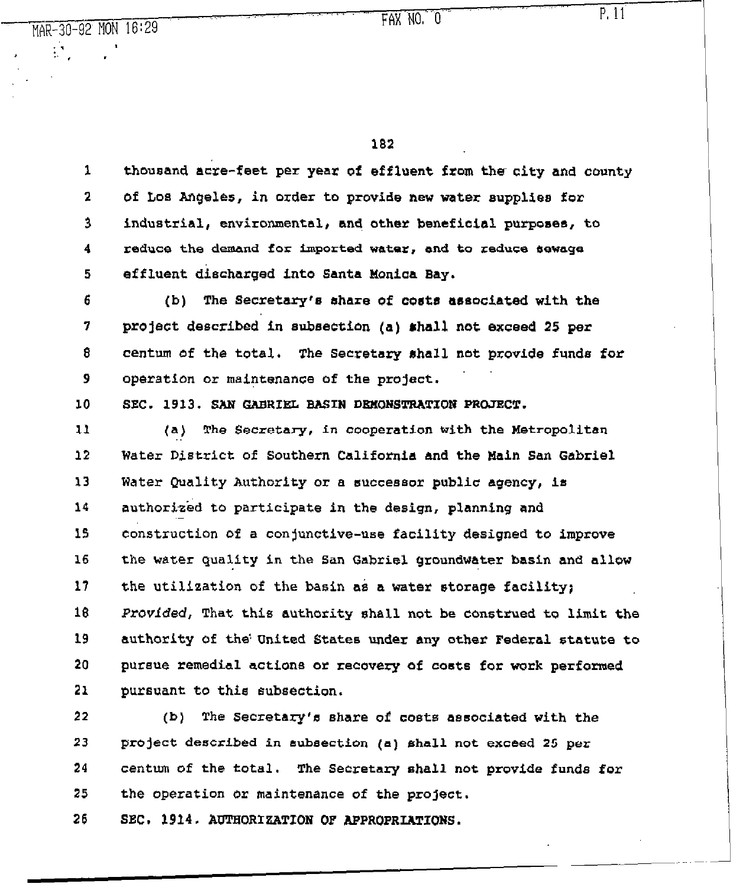$\mathcal{L}^{\text{max}}_{\text{max}}$ 

 $FAX NO. O P. 11$ 

 $\mathbf{r}$ 

182

1 2 *3 4 5 6 7 e 9 10*  11 12 13 **14 15 16**  17 18 19 20 **21**  thousand acre-feet per year of effluent **from** the city and county **of Los Angeles, in** order to provide new water supplioe *for*  industrial, environmental, *ana* **other** beneficial purposes, to reduce the demand for imported water, and to reduce sewage *effluent* discharged into **Santa** Moniaa Bay. (b) The Secretary's share of costs associated with the **project** described'fn subsection (a) &hall *not exceed* 25 per **CentM Of** the **totAl.** The Secretary shall not *provide* funds for operation or maintenance of the project. SEC. 1913. SAN GABRIEL BASIN DEMONSTRATION PROJECT. (a) The Secretary, *in* cooperation with the Metropolitan Water District of Southern California and the Hain San Gabriel Water Quality Authority or a successor public agency, is authorized to participate in the design, planning and .\_ construction of a conjunctive-use facility designed to improve the water quality ia the San Gabriel groundwater basin and allow the utilization of the basin as a water storage facility; *Pravfded,* That this authority ahall not be construed to limit *the*  authority of the!United States under any other Federal statute to pursue remedial actions or recovery of costs for work performed pursuant to this subsection.

**22 23**  24 25  $(b)$  The Secretary's share of costs associated with the project described in subsection (a) shall not exceed *25* per centum of the total. The Secretary shall not provide funds for the operation or maintenance of the project.

26 SEC. 1914. AUTHORIZATION OF APPROPRIATIONS.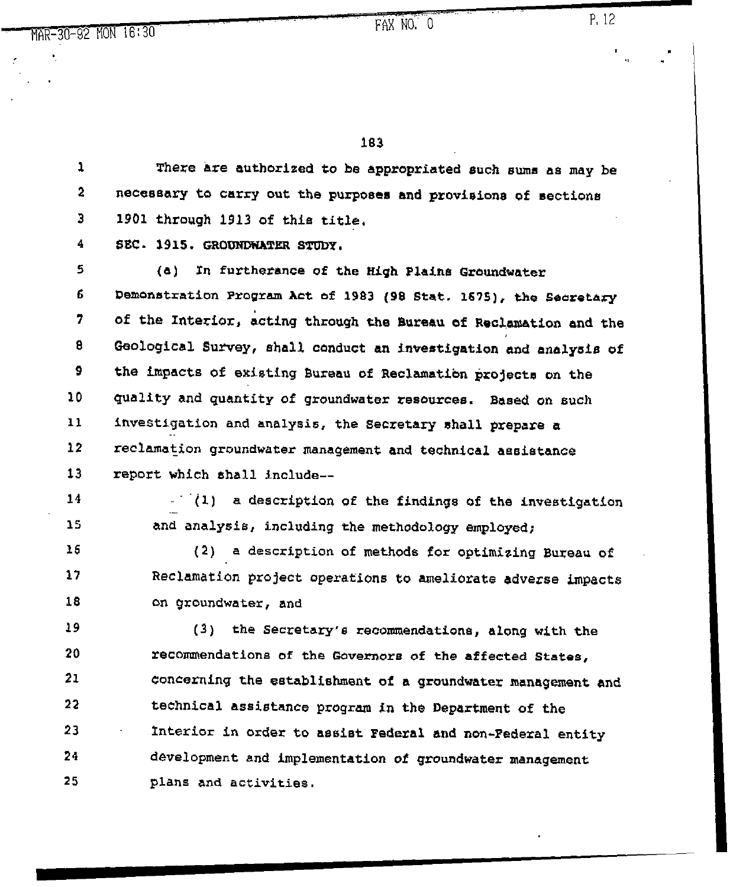183

1 **2 3**  There are authorized to be appropriated such sums as may be necessary to carry out the purposes end provision8 of sectiona 1901 through 1913 of this title,

**4**  SEC. 1915. GROUNDWATER STUDY.

**5 6 7 8 9**  10 11 12 13 (a) In furtherance of the High Plaina Groundwater Demonstration Program Act of 1983 (98 Stat. 1675), the Secretary of the Interior, acting through the Bureau of Reclamation and the Geological Survey, shall conduct an investigation and analysis of the impacts of existing Bureau of Reclamation projects on the quality and quantity of groundwater resources. Based on such investigation and analysis, the Secretary shall prepare a reclamation groundwater management and technical assistance report which shall include--

14 15 (1) a description of the findings of the investigation . and analysis, including the methodology employed;

16 17 18 (2) a description of methods for optimizing Bureau of Reclamation project operations to ameliorate adverse impacts on groundwater, and

19 20 21 22 23 24 25 (3) the Secretary's recommendations, along with the recommendations of the Governors of the affected States, concerning the establishment of a groundwater management and technical assistance program in the Department **of** the Interior in order to assist Federal and non-Federal entity development and implementation of groundwater management plans and activities.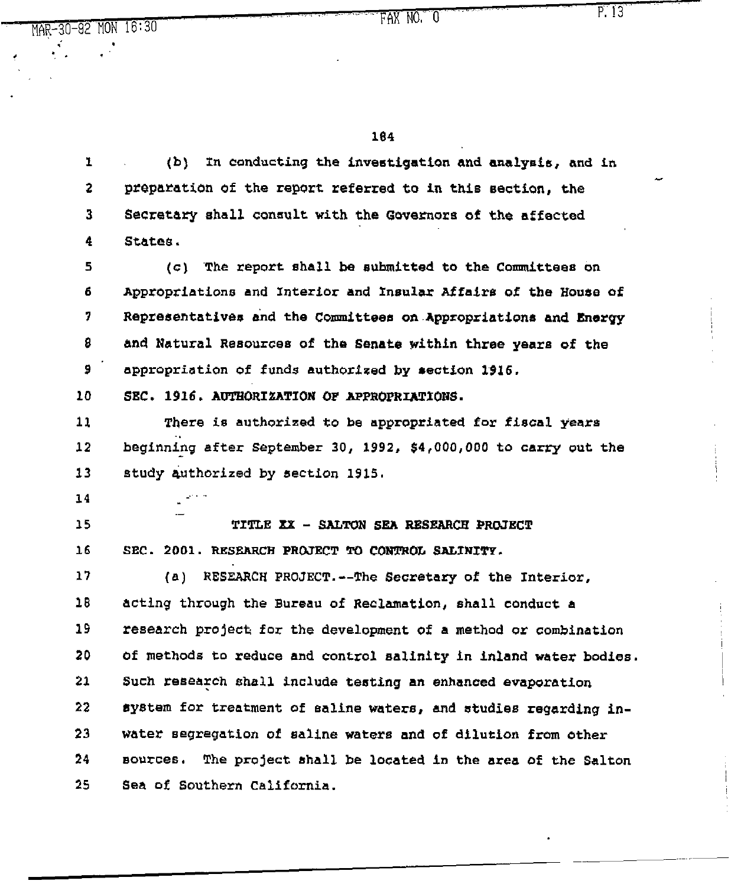MAR-SO-92 'MON 16:30

184

1 2 3 4 5 6 1 8 9 10 11 12 33 14 15 16 17 18 19 20 21 22 23 24 25 (b) In conducting the investigation and aualyais, and in preparation of the report referred to in this section, the Secretary shall consult with the Gwenors of the affected St&tee.  $(c)$  . The report shall be submitted to the Committees on Appropriations and *Interior* **and Insular Alfairs of the House of**  Representatives and the Committees on Appropriations and Energy and Natural Resources of the Senate within three years of the appropriation of funds authorized by section 1916. SEC. 1916. AUTHORIZATION OF APPROPRIATIONS. There is authorized *to* **be** appropriated fox **fiscal years**  beginning after September 30, 1992, \$4,000,000 to carry out the study authorized by section 1915. .- TITLE XX - SALTON SEA RESEARCH PROJECT SEC. 2001. RESEARCH PROJECT TO CONTROL SALINITY. (a) RESEARCH PROJECT. -- The Secretary of the Interior, acting through the Bureau of Reclamation, shall conduct a ZeBearch project for the development of a method or combination of methods to reduce and control salinity in inland water bodies. Such research shall include testing an enhanced evaporation system for treatment of saline waters, **and studies regarding** *inwater segregation of* saline water6 and of dilution from other Bounces. The project shall be located in the area of the Salton Sea of 6outhern California.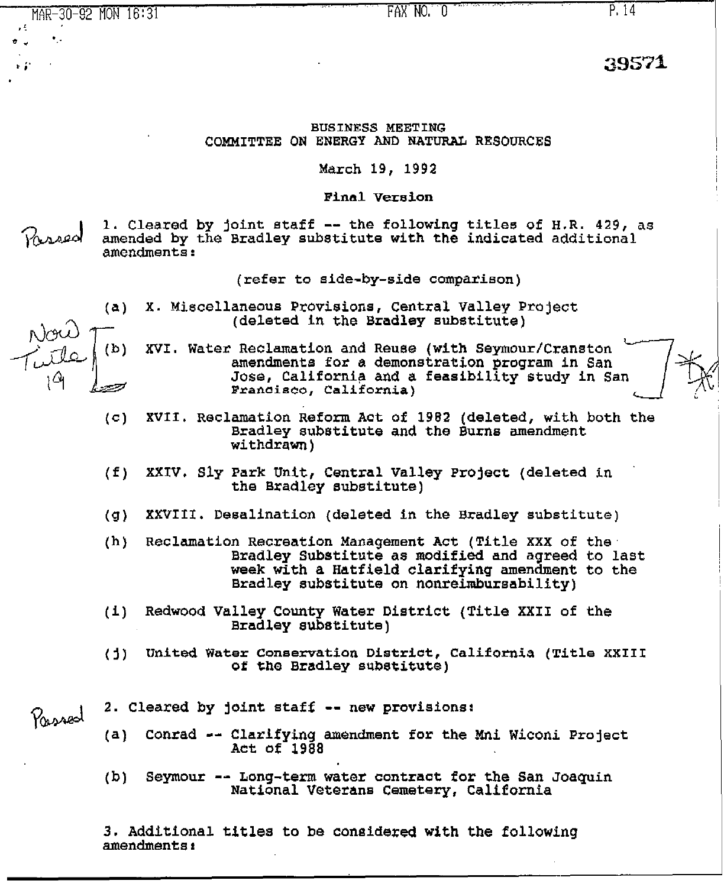MAR-30-92 MON 16:31 " ,  $\epsilon$  . The  $\epsilon$ e ~ \*: FAX NO. 0 **P. 14** P. 14 BUSINESS MEETING COMMITTEE ON ENERGY AND NATURAL RESOURCES

March 19, 1992

Final Version

1. Cleared by joint staff -- the following titles of H.R. 429, as amended by the Bradley substitute with the indicated additional amendments:

(refer to aide-by-side comparison)

- (a) X. Miscellaneous Proviaiona, Central Valley Project (deleted in the Bradley substitute)
- (b) XVI. Water Reclamation and Reuse (with Seymour/Cranston amendments fez a demonstration program in San Jose, California and a feasibility study in San Franoieoo, California)
- (c) XVII. Reclamation Reform Act of 1982 (deleted, with both the Bradley substitute and the Burns amendment withdrawn)
- (f) XXIV. Sly Park Unit, Central Valley Project (deleted in the Bradley substitute)
- (g) XXVIII. Desalination (deleted in the Bradley substitute)
- (h) Reclamation Recreation Management Act (Title XXX of the Bradley Substitute as modified and agreed to last week with a Hatfield clarifying amendment to the Bradley substitute on nonreimbursability)
- (i) Redwood Valley County Water District (Title XXII of the Bradley substitute)
- (j) United Water Conservation District, California **(Title** XXIII of the Bradley substitute)
- 2. Cleared by joint staff -- new provisions:
	- (a) Conrad -- Clarifying amendment for the Mni Wiconi Project Act of 1988
	- (b) Seymour -- Long-term water contract for the San Joaquin National Veterans Cemetery, California

3. Additional titles to be considered with the following amendments:

Passed

39571